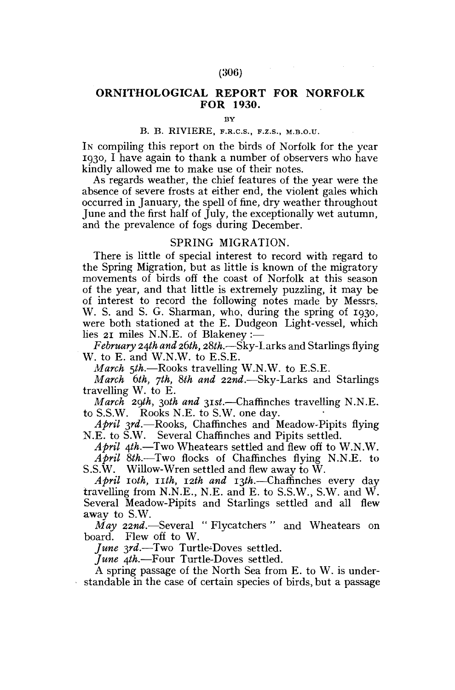# **ORNITHOLOGICAL REPORT FOR NORFOLK FOR 1930.**

**BY** 

#### B. B. RIVIERE, F.R.C.S., F.z.s., M.B.O.U.

IN compiling this report on the birds of Norfolk for the year 1930, I have again to thank a number of observers who have kindly allowed me to make use of their notes.

As regards weather, the chief features of the year were the absence of severe frosts at either end, the violent gales which occurred in January, the spell of fine, dry weather throughout June and the first half of July, the exceptionally wet autumn, and the prevalence of fogs during December.

### SPRING MIGRATION.

There is little of special interest to record with regard to the Spring Migration, but as little is known of the migratory movements of birds off the coast of Norfolk at this season of the year, and that little is extremely puzzling, it may be of interest to record the following notes made by Messrs. W. S. and S. G. Sharman, who, during the spring of 1930, were both stationed at the E. Dudgeon Light-vessel, which lies 21 miles N.N.E. of Blakeney :—

*February 24th and 2.6th, 28th.*—Sky-Larks and Starlings flying W. to E. and W.N.W. to E.S.E.

*March 5th.—*Rooks travelling W.N.W. to E.S.E.

*March 6th, yth, 8th and 22nd.*—Sky-Larks and Starlings travelling W. to E.

*March 2gth, 30th and 31st.*—Chaffinches travelling N.N.E. to S.S.W. Rooks N.E. to S.W. one day.

*April 3rd.*—Rooks, Chaffinches and Meadow-Pipits flying N.E. to S.W. Several Chaffinches and Pipits settled.

*April 4th.*—Two Wheatears settled and flew off to W.N.W. *April 8th.-*—Two flocks of Chaffinches flying N.N.E. to S.S.W. Willow-Wren settled and flew away to W.

*April 10th, nth, 12th and 13th.*—Chaffinches every day travelling from N.N.E., N.E. and E. to S.S.W., S.W. and W. Several Meadow-Pipits and Starlings settled and all flew away to S.W.

*May 22nd.-*—Several " Flycatchers " and Wheatears on board. Flew off to W.

*June 3rd.*—Two Turtle-Doves settled.

*June 4th.*—Four Turtle-Doves settled.

A spring passage of the North Sea from E. to W. is understandable in the case of certain species of birds, but a passage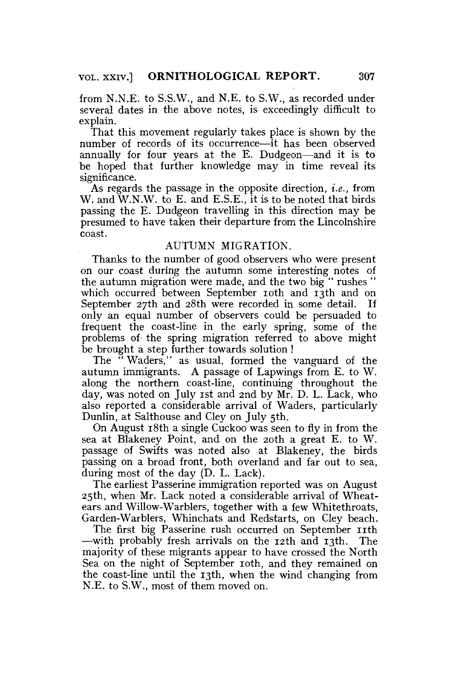from N.N.E. to S.S.W., and N.E. to S.W., as recorded under several dates in the above notes, is exceedingly difficult to explain.

That this movement regularly takes place is shown by the number of records of its occurrence—it has been observed annually for four years at the E. Dudgeon—and it is to be hoped that further knowledge may in time reveal its significance.

As regards the passage in the opposite direction, *i.e.,* from W. and W.N.W. to E. and E.S.E., it is to be noted that birds passing the E. Dudgeon travelling in this direction may be presumed to have taken their departure from the Lincolnshire coast.

## AUTUMN MIGRATION.

Thanks to the number of good observers who were present on our coast during the autumn some interesting notes of the autumn migration were made, and the two big" rushes" which occurred between September ioth and 13th and on September 27th and 28th were recorded in some detail. If only an equal number of observers could be persuaded to frequent the coast-line in the early spring, some of the problems of- the spring migration referred to above might be brought a step further towards solution !

The " Waders," as usual, formed the vanguard of the autumn immigrants. A passage of Lapwings from E. to W. along the northern coast-line, continuing throughout the day, was noted on July 1st and 2nd by Mr. D. L. Lack, who also reported a considerable arrival of Waders, particularly Dunlin, at Salthouse and Cley on July 5th.

On August 18th a single Cuckoo was seen to fly in from the sea at Blakeney Point, and on the 20th a great E. to W. passage of Swifts was noted also at Blakeney, the birds passing on a broad front, both overland and far out to sea, during most of the day (D. L. Lack).

The earliest Passerine immigration reported was on August 25th, when Mr. Lack noted a considerable arrival of Wheatears and Willow-Warblers, together with a few Whitethroats, Garden-Warblers, Whinchats and Redstarts, on Cley beach.

The first big Passerine rush occurred on September 11th —with probably fresh arrivals on the 12th and 13th. The majority of these migrants appear to have crossed the North Sea on the night of September ioth, and they remained on the coast-line until the 13th, when the wind changing from N.E. to S.W., most of them moved on.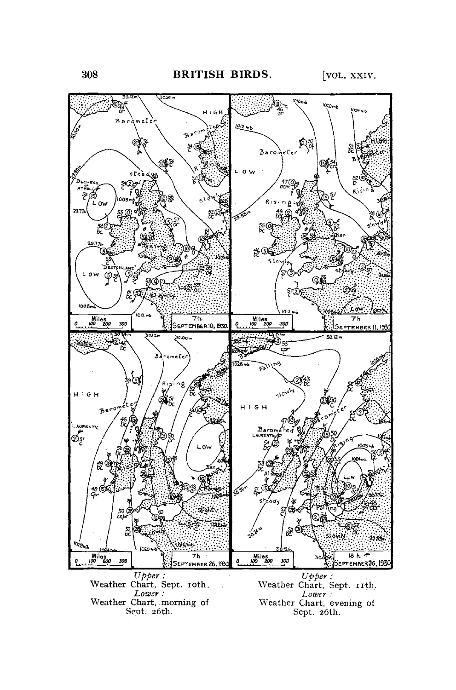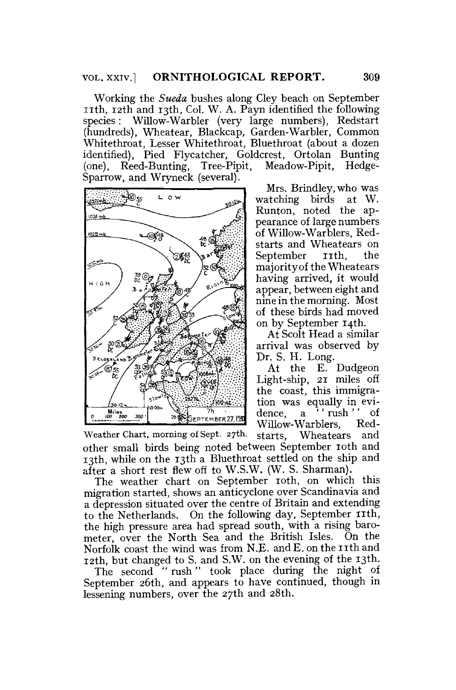Working the *Sueda* bushes along Cley beach on September nth , 12th and 13th, Col. W. A. Payn identified the following species: Willow-Warbler (very large numbers), Redstart (hundreds), Wheatear, Blackcap, Garden-Warbler, Common Whitethroat, Lesser Whitethroat, Bluethroat (about a dozen identified), Pied Flycatcher, Goldcrest, Ortolan Bunting (one), Reed-Bunting, Tree-Pipit, Meadow-Pipit, Hedge-Sparrow, and Wryneck (several).



Mrs. Brindley, who was<br>atching birds at W. watching birds Runton, noted the appearance of large numbers of Willow-Warblers, Redstarts and Wheatears on September **11th**, the majority of the Wheatears having arrived, it would appear, between eight and nine in the morning. Most of these birds had moved on by September 14th.

At Scolt Head a similar arrival was observed by Dr. S. H. Long.

At the E. Dudgeon Light-ship, 21 miles off the coast, this immigration was equally in evidence, a  $\lambda$  rush '' of Willow-Warblers, Red-

Weather Chart, morning of Sept. 27th. starts, Wheatears and other small birds being noted between September 10th and 13th, while on the 13th a Bluethroat settled on the ship and after a short rest flew off to W.S.W. (W. S. Sharman).

The weather chart on September 10th, on which this migration started, shows an anticyclone over Scandinavia and a depression situated over the centre of Britain and extending to the Netherlands. On the following day, September 11th, the high pressure area had spread south, with a rising barometer, over the North Sea and the British Isles. On the Norfolk coast the wind was from N.E. and E. on the 11th and 12th, but changed to S. and S.W. on the evening of the 13th.

The second " rush" took place during the night of September 26th, and appears to have continued, though in lessening numbers, over the 27th and 28th.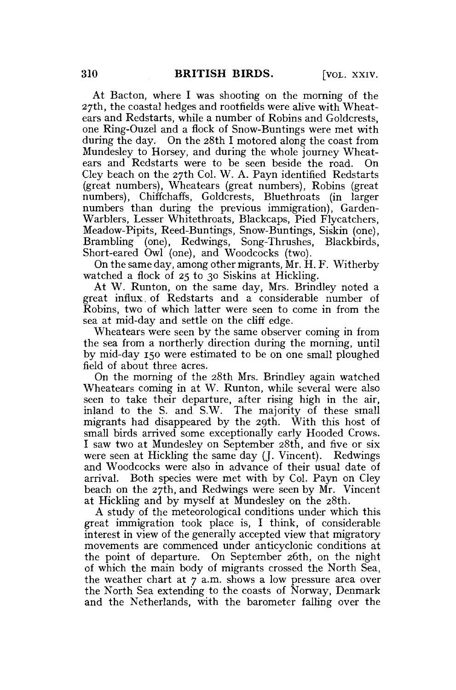At Bacton, where I was shooting on the morning of the 27th, the coastal hedges and rootfields were alive with Wheatears and Redstarts, while a number of Robins and Goldcrests, one Ring-Ouzel and a flock of Snow-Buntings were met with during the day. On the 28th I motored along the coast from Mundesley to Horsey, and during the whole journey Wheatears and Redstarts were to be seen beside the road. On Cley beach on the 27th Col. W. A. Payn identified Redstarts (great numbers), Wheatears (great numbers), Robins (great numbers), Chiffchaffs, Goldcrests, Bluethroats (in larger numbers than during the previous immigration), Garden-Warblers, Lesser Whitethroats, Blackcaps, Pied Flycatchers, Meadow-Pipits, Reed-Buntings, Snow-Buntings, Siskin (one), Brambling (one), Redwings, Song-Thrushes, Blackbirds, Short-eared Owl (one), and Woodcocks (two).

On the same day, among other migrants, Mr. H. F. Witherby watched a flock of 25 to 30 Siskins at Hickling.

At W. Runton, on the same day, Mrs. Brindley noted a great influx, of Redstarts and a considerable number of Robins, two of which latter were seen to come in from the sea at mid-day and settle on the cliff edge.

Wheatears were seen by the same observer coming in from the sea from a northerly direction during the morning, until by mid-day 150 were estimated to be on one small ploughed field of about three acres.

On the morning of the 28th Mrs. Brindley again watched Wheatears coming in at W. Runton, while several were also seen to take their departure, after rising high in the air, inland to the S. and S.W. The majority of these small migrants had disappeared by the 29th. With this host of small birds arrived some exceptionally early Hooded Crows. I saw two at Mundesley on September 28th, and five or six were seen at Hickling the same day (J. Vincent). Redwings and Woodcocks were also in advance of their usual date of arrival. Both species were met with by Col. Payn on Cley beach on the 27th, and Redwings were seen by Mr. Vincent at Hickling and by myself at Mundesley on the 28th.

A study of the meteorological conditions under which this great immigration took place is, I think, of considerable interest in view of the generally accepted view that migratory movements are commenced under anticyclonic conditions at the point of departure. On September 26th, on the night of which the main body of migrants crossed the North Sea, the weather chart at  $7$  a.m. shows a low pressure area over the North Sea extending to the coasts of Norway, Denmark and the Netherlands, with the barometer falling over the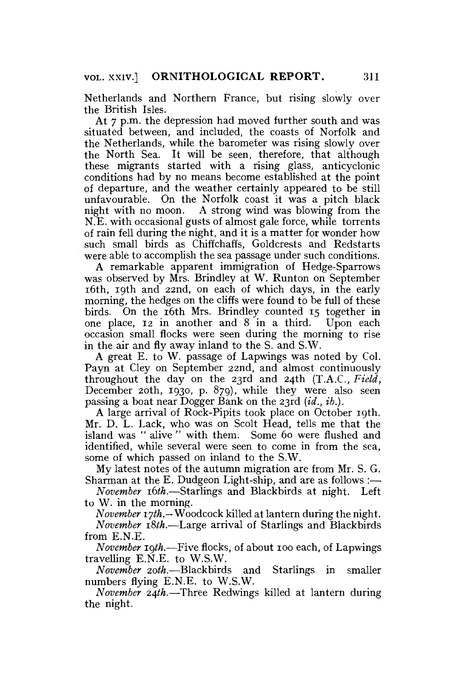Netherlands and Northern France, but rising slowly over the British Isles.

At 7 p.m. the depression had moved further south and was situated between, and included, the coasts of Norfolk and the Netherlands, while the barometer was rising slowly over the North Sea. It will be seen, therefore, that although these migrants started with a rising glass, anticyclonic conditions had by no means become established at the point of departure, and the weather certainly appeared to be still unfavourable. On the Norfolk coast it was a pitch black night with no moon. A strong wind was blowing from the N.E. with occasional gusts of almost gale force, while torrents of rain fell during the night, and it is a matter for wonder how such small birds as Chiffchaffs, Goldcrests and Redstarts were able to accomplish the sea passage under such conditions.

A remarkable apparent immigration of Hedge-Sparrows was observed by Mrs. Brindley at W. Runton on September 16th, 19th and 22nd, on each of which days, in the early morning, the hedges on the cliffs were found to be full of these birds. On the 16th Mrs. Brindley counted 15 together in one place, 12 in another and 8 in a third. Upon each occasion small flocks were seen during the morning to rise in the air and fly away inland to the S. and S.W.

A great E. to W. passage of Lapwings was noted by Col. Payn at Cley on September 22nd, and almost continuously throughout the day on the 23rd and 24th (T.A.C., *Field,*  December 20th, 1930, p. 879), while they were also seen passing a boat near Dogger Bank on the 23rd *{id., ib.).* 

A large arrival of Rock-Pipits took place on October 19th. Mr. D. L. Lack, who was on Scolt Head, tells me that the island was " alive " with them. Some 60 were flushed and identified, while several were seen to come in from the sea, some of which passed on inland to the S.W.

My latest notes of the autumn migration are from Mr. S. G. Sharman at the E. Dudgeon Light-ship, and are as follows :—

*November xbth.*—Starlings and Blackbirds at night. Left to W. in the morning.

*November iyth.—* Woodcock killed at lantern during the night. *November i8th.-*—Large arrival of Starlings and Blackbirds from E.N.E.

*November igth.-*—Five flocks, of about 100 each, of Lapwings travelling E.N.E. to W.S.W.

*November 20th,—*Blackbirds and Starlings in smaller numbers flying E.N.E. to W.S.W.

*November 24th.*—Three Redwings killed at lantern during the night.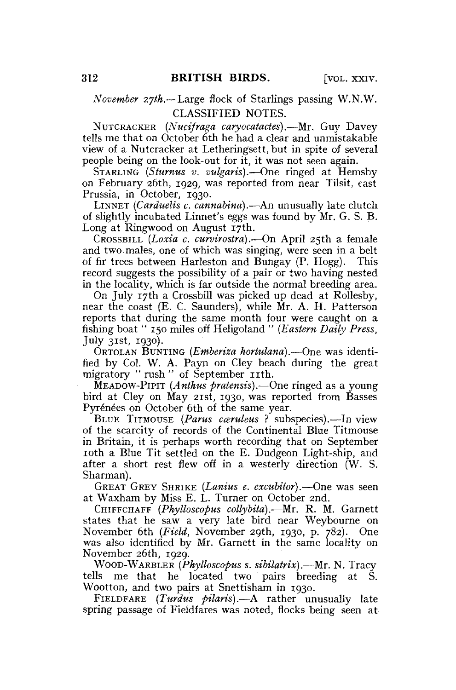### *November 2jth,*—Large flock of Starlings passing W.N.W. CLASSIFIED NOTES.

NUTCRACKER *(Nucifraga caryocatades).*—Mr. Guy Davey tells me that on October 6th he had a clear and unmistakable view of a Nutcracker at Letheringsett, but in spite of several people being on the look-out for it, it was not seen again.

STARLING *(Sturnus v. vulgaris)*.—One ringed at Hemsby on February 26th, 1929, was reported from near Tilsit, east Prussia, in October, 1930.

LINNET (Carduelis c. cannabina).- An unusually late clutch of slightly incubated Linnet's eggs was found by Mr. G. S. B. Long at Ringwood on August 17th.

CROSSBILL *{Loxia c. curvirostra).—*On April 25th a female and two males, one of which was singing, were seen in a belt of fir trees between Harleston and Bungay (P. Hogg). This record suggests the possibility of a pair or two having nested in the locality, which is far outside the normal breeding area.

On July 17th a Crossbill was picked up dead at Rollesby, near the coast (E. C. Saunders), while Mr. A. H. Patterson reports that during the same month four were caught on a fishing boat " 150 miles off Heligoland " *{Eastern Daily Press,*  July 31st, 1930).

ORTOLAN BUNTING *(Emberiza hortulana).*—One was identified by Col. W. A. Payn on Cley beach during the great migratory " rush " of September 11th.

MEADOW-PIPIT *(Anthus pratensis).*—One ringed as a young bird at Cley on May 21st, 1930, was reported from Basses Pyrénées on October 6th of the same year.

BLUE TITMOUSE *(Parus cceruleus* ? subspecies).—In view of the scarcity of records of the Continental Blue Titmouse in Britain, it is perhaps worth recording that on September 10th a Blue Tit settled on the E. Dudgeon Light-ship, and after a short rest flew off in a westerly direction (W. S. Sharman).

GREAT GREY SHRIKE *(Lanius e. excubitor).—*One was seen at Waxham by Miss E. L. Turner on October 2nd.

CHIFFCHAFF *(Phylloscopus collybita).—Mr.* R. M. Garnett states that he saw a very late bird near Weybourne on November 6th *(Field,* November 29th, 1930, p. 782). One was also identified by Mr. Garnett in the same locality on November 26th, 1929.

WOOD-WARBLER *(Phylloscopus s. sibilatrix).*—Mr. N. Tracy tells me that he located two pairs breeding at S. Wootton, and two pairs at Snettisham in 1930.

FIELDFARE *(Turdus pilaris).*—A rather unusually late spring passage of Fieldfares was noted, flocks being seen at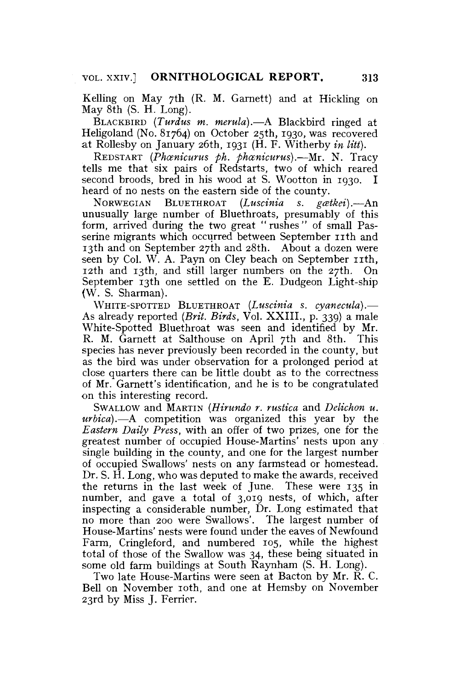Kelling on May 7th (R. M. Garnett) and at Hickling on May 8th (S. H. Long).

BLACKBIRD *(Turdus m. merula).*—A Blackbird ringed at Heligoland (No. 81764) on October 25th, 1930, was recovered at Rollesby on January 26th, 1931 (H. F. Witherby *in litt).* 

REDSTART *(Phcenicurus ph. phcenicurus).*—Mr. N. Tracy tells me that six pairs of Redstarts, two of which reared second broods, bred in his wood at S. Wootton in 1930. I heard of no nests on the eastern side of the county.

NORWEGIAN BLUETHROAT (Luscinia s. gatkei).—An unusually large number of Bluethroats, presumably of this form, arrived during the two great "rushes" of small Passerine migrants which occurred between September 11th and 13th and on September 27th and 28th. About a dozen were seen by Col. W. A. Payn on Cley beach on September 11th, 12th and 13th, and still larger numbers on the 27th. On September 13th one settled on the E. Dudgeon Light-ship (W. S. Sharman).

WHITE-SPOTTED BLUETHROAT *{Luscinia s. cyanecula).*— As already reported *{Brit. Birds,* Vol. XXIII., p. 339) a male White-Spotted Bluethroat was seen and identified by Mr. R. M. Garnett at Salthouse on April 7th and 8th. This species has never previously been recorded in the county, but as the bird was under observation for a prolonged period at close quarters there can be little doubt as to the correctness of Mr. Garnett's identification, and he is to be congratulated on this interesting record.

SWALLOW and MARTIN *{Hirundo r. rustica* and *Delichon u. urbica).*—A competition was organized this year by the *Eastern Daily Press,* with an offer of two prizes, one for the greatest number of occupied House-Martins' nests upon any single building in the county, and one for the largest number of occupied Swallows' nests on any farmstead or homestead. Dr. S. H. Long, who was deputed to make the awards, received the returns in the last week of June. These were 135 in number, and gave a total of 3,019 nests, of which, after inspecting a considerable number, Dr. Long estimated that no more than 200 were Swallows'. The largest number of House-Martins' nests were found under the eaves of Newfound Farm, Cringleford, and numbered 105, while the highest total of those of the Swallow was 34, these being situated in some old farm buildings at South Raynham (S. H. Long).

Two late House-Martins were seen at Bacton by Mr. R. C. Bell on November 10th, and one at Hemsby on November 23rd by Miss J. Ferrier.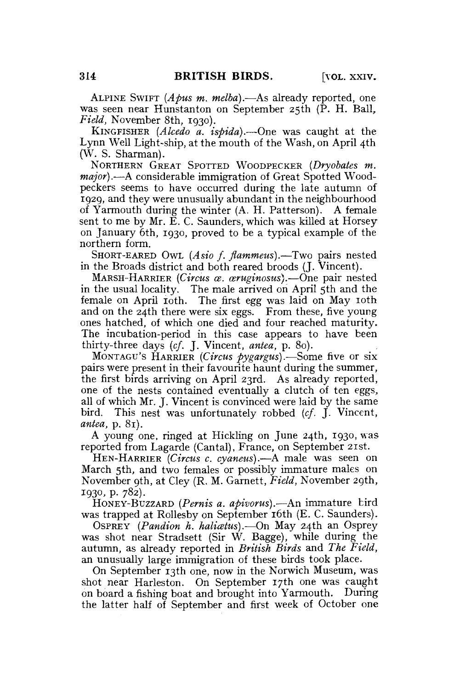ALPINE SWIFT *(Apus m. melba).*—As already reported, one was seen near Hunstanton on September 25th (P. H. Ball, *Field,* November 8th, 1930).

KINGFISHER *(Alcedo a. ispida).—*One was caught at the Lynn Well Light-ship, at the mouth of the Wash, on April 4th (W. S. Sharman).

NORTHERN GREAT SPOTTED WOODPECKER *(Dryobates m. major).*—A considerable immigration of Great Spotted Woodpeckers seems to have occurred during the late autumn of 1929, and they were unusually abundant in the neighbourhood of Yarmouth during the winter (A. H. Patterson). A female sent to me by Mr. E. C. Saunders, which was killed at Horsey on January 6th, 1930, proved to be a typical example of the northern form.

SHORT-EARED OWL *(Asio f. flammeus).—7wo* pairs nested in the Broads district and both reared broods (J. Vincent).

MARSH-HARRIER *(Circus ce. wruginosus).*—One pair nested in the usual locality. The male arrived on April 5th and the female on April 10th. The first egg was laid on May 10th and on the 24th there were six eggs. From these, five young ones hatched, of which one died and four reached maturity. The incubation-period in this case appears to have been thirty-three days *(cf.* J. Vincent, *antea,* p. 80).

MONTAGU'S HARRIER *(Circus pygargus).*—Some five or six pairs were present in their favourite haunt during the summer, the first birds arriving on April 23rd. As already reported, one of the nests contained eventually a clutch of ten eggs, all of which Mr. J. Vincent is convinced were laid by the same bird. This nest was unfortunately robbed *(cf.* J. Vincent, *antea,* p. 81).

A young one, ringed at Hickling on June 24th, 1930, was reported from Lagarde (Cantal), France, on September 21st.

HEN-HARRIER *(Circus c. cyaneus).—A* male was seen on March 5th, and two females or possibly immature males on November 9th, at Cley (R. M. Garnett, *Field,* November 29th, 1930, p. 782).

HONEY-BUZZARD *(Pemis a. apivorus).—*An immature bird was trapped at Rollesby on September **16th** (E. C. Saunders).

OSPREY *(Pandion h. halicetus).*—On May 24th an Osprey was shot near Stradsett (Sir W. Bagge), while during the autumn, as already reported in *British Birds* and *The Field,*  an unusually large immigration of these birds took place.

On September 13th one, now in the Norwich Museum, was shot near Harleston. On September 17th one was caught on board a fishing boat and brought into Yarmouth. During the latter half of September and first week of October one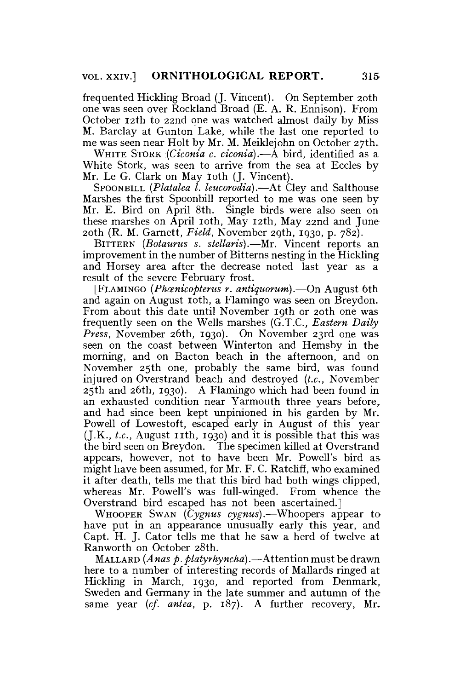frequented Hickling Broad (J. Vincent). On September 20th one was seen over Rockland Broad (E. A. R. Ennison). From October 12th to 22nd one was watched almost daily by Miss M. Barclay at Gunton Lake, while the last one reported to me was seen near Holt by Mr. M. Meiklejohn on October 27th.

WHITE STORK *(Ciconia c. ciconia).*—A bird, identified as a White Stork, was seen to arrive from the sea at Eccles by Mr. Le G. Clark on May 10th (J. Vincent).

SPOONBILL *(Platalea I. leucorodia).*—At Cley and Salthouse Marshes the first Spoonbill reported to me was one seen by Mr. E. Bird on April 8th. Single birds were also seen on these marshes on April 10th, May 12th, May 22nd and June 20th (R. M. Garnett, *Field,* November 29th, 1930, p. 782).

BITTERN *(Botaurus s. stellaris).*—Mr. Vincent reports an improvement in the number of Bitterns nesting in the Hickling and Horsey area after the decrease noted last year as a result of the severe February frost.

[FLAMINGO *(Phcenicopterus r. antiquorum).*—On August 6th and again on August 10th, a Flamingo was seen on Breydon. From about this date until November 19th or 20th one was frequently seen on the Wells marshes (G.T.C., *Eastern Daily Press,* November 26th, 1930). On November 23rd one was seen on the coast between Winterton and Hemsby in the morning, and on Bacton beach in the afternoon, and on November 25th one, probably the same bird, was found injured on Overstrand beach and destroyed *(t.c,* November 25th and 26th, 1930). A Flamingo which had been found in an exhausted condition near Yarmouth three years before, and had since been kept unpinioned in his garden by Mr. Powell of Lowestoft, escaped early in August of this year  $($ J.K., *t.c.*, August 11th, 1930) and it is possible that this was the bird seen on Breydon. The specimen killed at Overstrand appears, however, not to have been Mr. Powell's bird as might have been assumed, for Mr. F. C. Ratcliff, who examined it after death, tells me that this bird had both wings clipped, whereas Mr. Powell's was full-winged. From whence the Overstrand bird escaped has not been ascertained.]

WHOOPER SWAN *(Cygnus cygnus).*—Whoopers appear to have put in an appearance unusually early this year, and Capt. H. J. Cator tells me that he saw a herd of twelve at Ranworth on October 28th.

MALLARD *(Anas p. platyrhyncha).*—Attention must be drawn here to a number of interesting records of Mallards ringed at Hickling in March, 1930, and reported from Denmark, Sweden and Germany in the late summer and autumn of the same year *(cf. antea,* p. 187). A further recovery, Mr.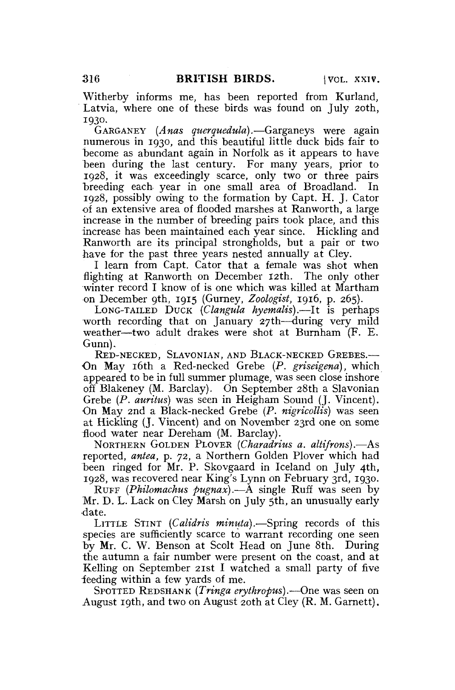Witherby informs me, has been reported from Kurland, Latvia, where one of these birds was found on July 20th, 1930.

GARGANEY *(Anas querquedula).-*—Garganeys were again numerous in 1930, and this beautiful little duck bids fair to become as abundant again in Norfolk as it appears to have been during the last century. For many years, prior to 1928, it was exceedingly scarce, only two or three pairs breeding each year in one small area of Broadland. In 1928, possibly owing to the formation by Capt. H. J. Cator •of an extensive area of flooded marshes at Ranworth, a large increase in the number of breeding pairs took place, and this increase has been maintained each year since. Hickling and Ranworth are its principal strongholds, but a pair or two have for the past three years nested annually at Cley.

I learn from Capt. Cator that a female was shot when flighting at Ranworth on December 12th. The only other winter record I know of is one which was killed at Martham on December 9th, 1915 (Gurney, *Zoologist,* 1916, p. 265).

LONG-TAILED DUCK *(Clangula hyemalis).*—It is perhaps worth recording that on January 27th—during very mild weather—two adult drakes were shot at Burnham (F. E. Gunn).

RED-NECKED, SLAVONIAN, AND BLACK-NECKED GREBES.— On May 16th a Red-necked Grebe *{P. griseigena),* which appeared to be in full summer plumage, was seen close inshore off Blakeney (M. Barclay). On September 28th a Slavonian Grebe *(P. auritus)* was seen in Heigham Sound (J. Vincent). On May 2nd a Black-necked Grebe *(P. nigricollis)* was seen at Hickling (J. Vincent) and on November 23rd one on some flood water near Dereham (M. Barclay).

NORTHERN GOLDEN PLOVER *(Charadrius a. altifrons).*—As reported, *antea,* p. 72, a Northern Golden Plover which had been ringed for Mr. P. Skovgaard in Iceland on July 4th, 1928, was recovered near King's Lynn on February 3rd, 1930.

RUFF *(Philomachus pugnax).*—A single Ruff was seen by Mr. D. L. Lack on Cley Marsh on July 5th, an unusually early •date.

LITTLE STINT *(Catidris minuia).-*—Spring records of this species are sufficiently scarce to warrant recording one seen by Mr. C. W. Benson at Scolt Head on June 8th. During the autumn a fair number were present on the coast, and at Kelling on September 21st I watched a small party of five feeding within a few yards of me.

SPOTTED REDSHANK *(Tringa erythropus).*—One was seen on August 19th, and two on August 20th at Cley (R. M. Garnett).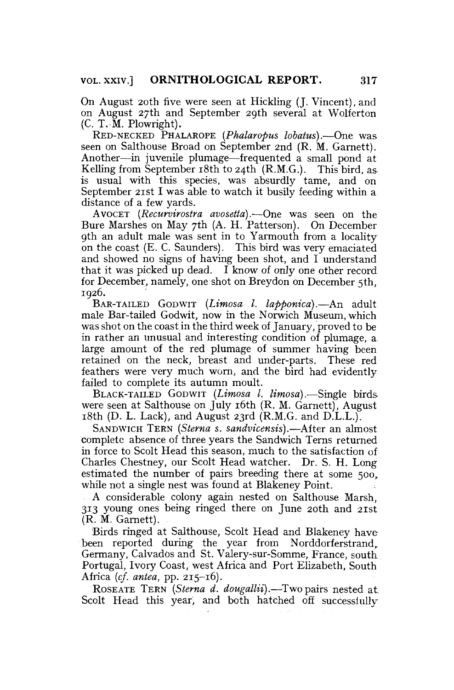On August 20th five were seen at Hickling (J. Vincent), and on August 27th and September 29th several at Wolferton (C. T. M. Plowright).

RED-NECKED PHALAROPE (Phalaropus lobatus).-One was seen on Salthouse Broad on September 2nd (R. M. Garnett). Another—in juvenile plumage—frequented a small pond at Kelling from September 18th to 24th (R.M.G.). This bird, as is usual with this species, was absurdly tame, and on September 21st I was able to watch it busily feeding within a distance of a few yards.

AVOCET *(Recurvirostra avosetta).—* One was seen on the Bure Marshes on May 7th (A. H. Patterson). On December 9th an adult male was sent in to Yarmouth from a locality on the coast (E. C. Saunders). This bird was very emaciated and showed no signs of having been shot, and I understand that it was picked up dead. I know of only one other record for December, namely, one shot on Breydon on December 5th, 1926.

BAR-TAILED GODWIT *(Limosa .1. lapponica).*—An adult male Bar-tailed Godwit, now in the Norwich Museum, which was shot on the coast in the third week of January, proved to be in rather an unusual and interesting condition of plumage, a large amount of the red plumage of summer having been retained on the neck, breast and under-parts. These red feathers were very much worn, and the bird had evidently failed to complete its autumn moult.

BLACK-TAILED GODWIT *{Limosa 1. limosa),*—Single birds were seen at Salthouse on July 16th (R. M. Garnett), August  $18th$  (D. L. Lack), and August 23rd (R.M.G. and D.L.L.).

SANDWICH TERN *(Sterna s. sandvicensis).*—After an almost complete absence of three years the Sandwich Terns returned in force to Scolt Head this season, much to the satisfaction of Charles Chestney, our Scolt Head watcher. Dr. S. H. Long estimated the number of pairs breeding there at some 500, while not a single nest was found at Blakeney Point.

A considerable colony again nested on Salthouse Marsh, 313 young ones being ringed there on June 20th and 21st (R. M. Garnett).

Birds ringed at Salthouse, Scolt Head and Blakeney have been reported during the year from Norddorferstrand, Germany, Calvados and St. Valery-sur-Somme, France, south Portugal, Ivory Coast, west Africa and Port Elizabeth, South Africa *(cf. antea,* pp. 215-16).

ROSEATE TERN *(Sterna d. dougallii).*—Two pairs nested at Scolt Head this year, and both hatched off successfully